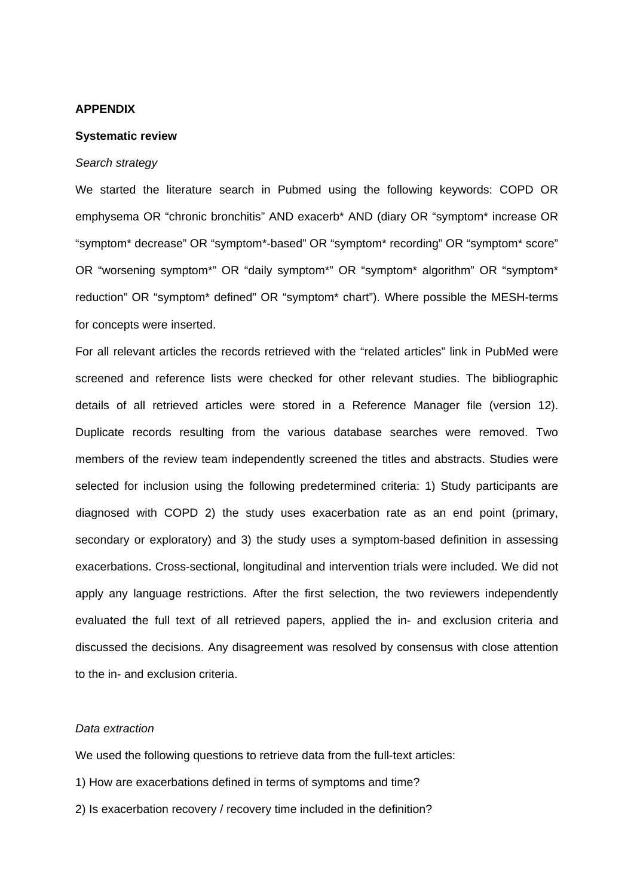## **APPENDIX**

## **Systematic review**

## *Search strategy*

We started the literature search in Pubmed using the following keywords: COPD OR emphysema OR "chronic bronchitis" AND exacerb\* AND (diary OR "symptom\* increase OR "symptom\* decrease" OR "symptom\*-based" OR "symptom\* recording" OR "symptom\* score" OR "worsening symptom\*" OR "daily symptom\*" OR "symptom\* algorithm" OR "symptom\* reduction" OR "symptom\* defined" OR "symptom\* chart"). Where possible the MESH-terms for concepts were inserted.

For all relevant articles the records retrieved with the "related articles" link in PubMed were screened and reference lists were checked for other relevant studies. The bibliographic details of all retrieved articles were stored in a Reference Manager file (version 12). Duplicate records resulting from the various database searches were removed. Two members of the review team independently screened the titles and abstracts. Studies were selected for inclusion using the following predetermined criteria: 1) Study participants are diagnosed with COPD 2) the study uses exacerbation rate as an end point (primary, secondary or exploratory) and 3) the study uses a symptom-based definition in assessing exacerbations. Cross-sectional, longitudinal and intervention trials were included. We did not apply any language restrictions. After the first selection, the two reviewers independently evaluated the full text of all retrieved papers, applied the in- and exclusion criteria and discussed the decisions. Any disagreement was resolved by consensus with close attention to the in- and exclusion criteria.

## *Data extraction*

We used the following questions to retrieve data from the full-text articles:

- 1) How are exacerbations defined in terms of symptoms and time?
- 2) Is exacerbation recovery / recovery time included in the definition?